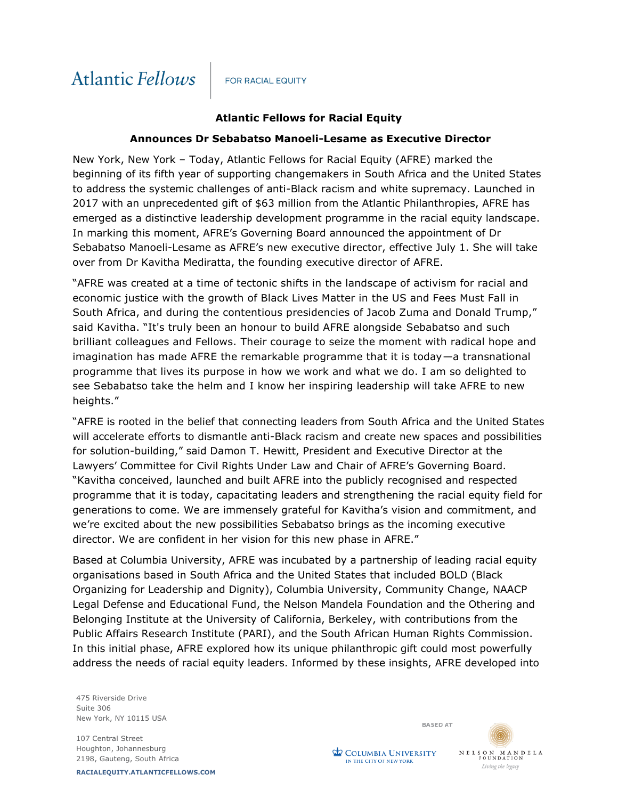## **FOR RACIAL EQUITY**

## **Atlantic Fellows for Racial Equity**

## **Announces Dr Sebabatso Manoeli-Lesame as Executive Director**

New York, New York – Today, Atlantic Fellows for Racial Equity (AFRE) marked the beginning of its fifth year of supporting changemakers in South Africa and the United States to address the systemic challenges of anti-Black racism and white supremacy. Launched in 2017 with an unprecedented gift of \$63 million from the Atlantic Philanthropies, AFRE has emerged as a distinctive leadership development programme in the racial equity landscape. In marking this moment, AFRE's Governing Board announced the appointment of Dr Sebabatso Manoeli-Lesame as AFRE's new executive director, effective July 1. She will take over from Dr Kavitha Mediratta, the founding executive director of AFRE.

"AFRE was created at a time of tectonic shifts in the landscape of activism for racial and economic justice with the growth of Black Lives Matter in the US and Fees Must Fall in South Africa, and during the contentious presidencies of Jacob Zuma and Donald Trump," said Kavitha. "It's truly been an honour to build AFRE alongside Sebabatso and such brilliant colleagues and Fellows. Their courage to seize the moment with radical hope and imagination has made AFRE the remarkable programme that it is today—a transnational programme that lives its purpose in how we work and what we do. I am so delighted to see Sebabatso take the helm and I know her inspiring leadership will take AFRE to new heights."

"AFRE is rooted in the belief that connecting leaders from South Africa and the United States will accelerate efforts to dismantle anti-Black racism and create new spaces and possibilities for solution-building," said Damon T. Hewitt, President and Executive Director at the Lawyers' Committee for Civil Rights Under Law and Chair of AFRE's Governing Board. "Kavitha conceived, launched and built AFRE into the publicly recognised and respected programme that it is today, capacitating leaders and strengthening the racial equity field for generations to come. We are immensely grateful for Kavitha's vision and commitment, and we're excited about the new possibilities Sebabatso brings as the incoming executive director. We are confident in her vision for this new phase in AFRE."

Based at Columbia University, AFRE was incubated by a partnership of leading racial equity organisations based in South Africa and the United States that included BOLD (Black Organizing for Leadership and Dignity), Columbia University, Community Change, NAACP Legal Defense and Educational Fund, the Nelson Mandela Foundation and the Othering and Belonging Institute at the University of California, Berkeley, with contributions from the Public Affairs Research Institute (PARI), and the South African Human Rights Commission. In this initial phase, AFRE explored how its unique philanthropic gift could most powerfully address the needs of racial equity leaders. Informed by these insights, AFRE developed into

475 Riverside Drive Suite 306 New York, NY 10115 USA

107 Central Street Houghton, Johannesburg 2198, Gauteng, South Africa

**RACIALEQUITY.ATLANTICFELLOWS.COM**



 $\begin{array}{cccccccccc} \textbf{N} & \textbf{E} & \textbf{L} & \textbf{S} & \textbf{O} & \textbf{N} & \textbf{M} & \textbf{A} & \textbf{N} & \textbf{D} & \textbf{E} & \textbf{L} & \textbf{A} \\ \textbf{F} & \textbf{O} & \textbf{U} & \textbf{N} & \textbf{D} & \textbf{A} & \textbf{T} & \textbf{I} & \textbf{O} & \textbf{N} \end{array}$ Living the legacy

**COLUMBIA UNIVERSITY** IN THE CITY OF NEW YORK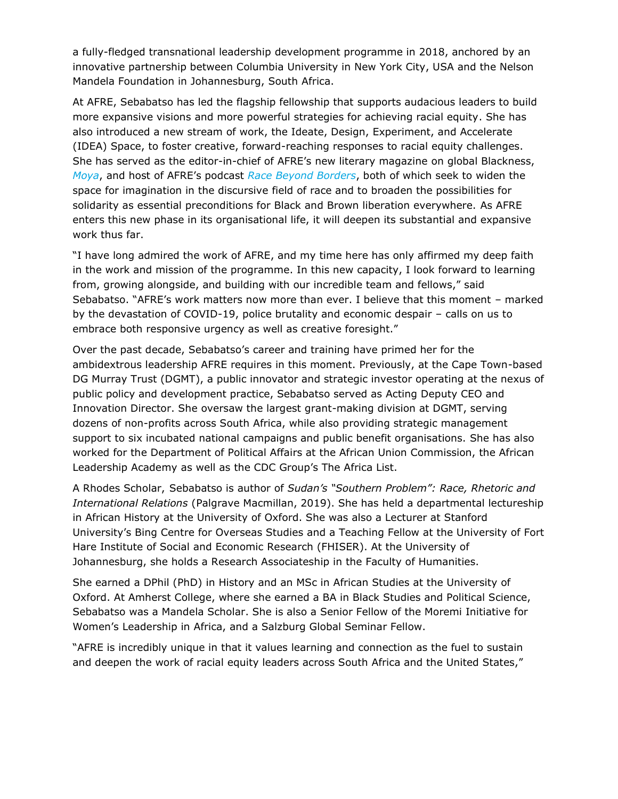a fully-fledged transnational leadership development programme in 2018, anchored by an innovative partnership between Columbia University in New York City, USA and the Nelson Mandela Foundation in Johannesburg, South Africa.

At AFRE, Sebabatso has led the flagship fellowship that supports audacious leaders to build more expansive visions and more powerful strategies for achieving racial equity. She has also introduced a new stream of work, the Ideate, Design, Experiment, and Accelerate (IDEA) Space, to foster creative, forward-reaching responses to racial equity challenges. She has served as the editor-in-chief of AFRE's new literary magazine on global Blackness, *[Moya](https://www.afremoya.com/)*, and host of AFRE's podcast *[Race Beyond Borders](https://open.spotify.com/show/1xAbG5OpFLYH8a2kaPItj7)*, both of which seek to widen the space for imagination in the discursive field of race and to broaden the possibilities for solidarity as essential preconditions for Black and Brown liberation everywhere. As AFRE enters this new phase in its organisational life, it will deepen its substantial and expansive work thus far.

"I have long admired the work of AFRE, and my time here has only affirmed my deep faith in the work and mission of the programme. In this new capacity, I look forward to learning from, growing alongside, and building with our incredible team and fellows," said Sebabatso. "AFRE's work matters now more than ever. I believe that this moment – marked by the devastation of COVID-19, police brutality and economic despair – calls on us to embrace both responsive urgency as well as creative foresight."

Over the past decade, Sebabatso's career and training have primed her for the ambidextrous leadership AFRE requires in this moment. Previously, at the Cape Town-based DG Murray Trust (DGMT), a public innovator and strategic investor operating at the nexus of public policy and development practice, Sebabatso served as Acting Deputy CEO and Innovation Director. She oversaw the largest grant-making division at DGMT, serving dozens of non-profits across South Africa, while also providing strategic management support to six incubated national campaigns and public benefit organisations. She has also worked for the Department of Political Affairs at the African Union Commission, the African Leadership Academy as well as the CDC Group's The Africa List.

A Rhodes Scholar, Sebabatso is author of *Sudan's "Southern Problem": Race, Rhetoric and International Relations* (Palgrave Macmillan, 2019). She has held a departmental lectureship in African History at the University of Oxford. She was also a Lecturer at Stanford University's Bing Centre for Overseas Studies and a Teaching Fellow at the University of Fort Hare Institute of Social and Economic Research (FHISER). At the University of Johannesburg, she holds a Research Associateship in the Faculty of Humanities.

She earned a DPhil (PhD) in History and an MSc in African Studies at the University of Oxford. At Amherst College, where she earned a BA in Black Studies and Political Science, Sebabatso was a Mandela Scholar. She is also a Senior Fellow of the Moremi Initiative for Women's Leadership in Africa, and a Salzburg Global Seminar Fellow.

"AFRE is incredibly unique in that it values learning and connection as the fuel to sustain and deepen the work of racial equity leaders across South Africa and the United States,"